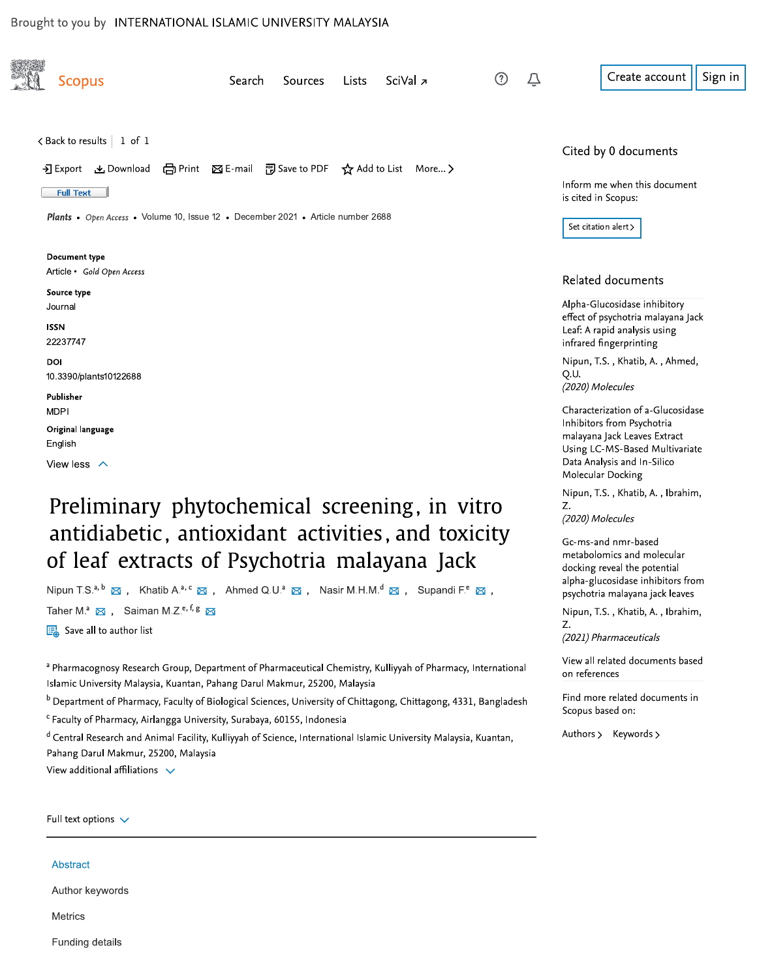### Brought to you by INTERNATIONAL ISLAMIC UNIVERSITY MALAYSIA

| <b>Scopus</b>                                                                                                                                                                                                     | Search<br>Sources | Lists | SciVal <sub>2</sub> | ➀<br>Û |               | Create account                                                                                                              | Sign in |
|-------------------------------------------------------------------------------------------------------------------------------------------------------------------------------------------------------------------|-------------------|-------|---------------------|--------|---------------|-----------------------------------------------------------------------------------------------------------------------------|---------|
| $\lt$ Back to results   1 of 1                                                                                                                                                                                    |                   |       |                     |        |               | Cited by 0 documents                                                                                                        |         |
| → Export & Download (금 Print ⊠ E-mail 岡 Save to PDF ☆ Add to List More ><br><b>Full Text</b>                                                                                                                      |                   |       |                     |        |               | Inform me when this document<br>is cited in Scopus:                                                                         |         |
| <b>Plants •</b> Open Access • Volume 10, Issue 12 • December 2021 • Article number 2688                                                                                                                           |                   |       |                     |        |               | Set citation alert >                                                                                                        |         |
| Document type<br>Article • Gold Open Access                                                                                                                                                                       |                   |       |                     |        |               | Related documents                                                                                                           |         |
| Source type<br>Journal<br><b>ISSN</b>                                                                                                                                                                             |                   |       |                     |        |               | Alpha-Glucosidase inhibitory<br>effect of psychotria malayana Jack<br>Leaf: A rapid analysis using                          |         |
| 22237747<br>DOI                                                                                                                                                                                                   |                   |       |                     |        |               | infrared fingerprinting<br>Nipun, T.S., Khatib, A., Ahmed,                                                                  |         |
| 10.3390/plants10122688<br>Publisher                                                                                                                                                                               |                   |       |                     |        | Q.U.          | (2020) Molecules<br>Characterization of a-Glucosidase                                                                       |         |
| <b>MDPI</b><br>Original language<br>English<br>View less $\land$                                                                                                                                                  |                   |       |                     |        |               | Inhibitors from Psychotria<br>malayana Jack Leaves Extract<br>Using LC-MS-Based Multivariate<br>Data Analysis and In-Silico |         |
| Preliminary phytochemical screening, in vitro                                                                                                                                                                     |                   |       |                     |        | Z.            | Molecular Docking<br>Nipun, T.S., Khatib, A., Ibrahim,                                                                      |         |
| antidiabetic, antioxidant activities, and toxicity                                                                                                                                                                |                   |       |                     |        |               | (2020) Molecules<br>Gc-ms-and nmr-based<br>metabolomics and molecular                                                       |         |
| of leaf extracts of Psychotria malayana Jack<br>Nipun T.S. <sup>a, b</sup> ⊠ , Khatib A. <sup>a, c</sup> ⊠ , Ahmed Q.U. <sup>a</sup> ⊠ , Nasir M.H.M. <sup>d</sup> ⊠ , Supandi F. <sup>e</sup> ⊠ ,                |                   |       |                     |        |               | docking reveal the potential<br>alpha-glucosidase inhibitors from<br>psychotria malayana jack leaves                        |         |
| Taher M. <sup>a</sup> $\boxtimes$ , Saiman M.Z. <sup>e, f, g</sup> $\boxtimes$<br>Save all to author list                                                                                                         |                   |       |                     |        | Z.            | Nipun, T.S., Khatib, A., Ibrahim,<br>(2021) Pharmaceuticals                                                                 |         |
| a Pharmacognosy Research Group, Department of Pharmaceutical Chemistry, Kulliyyah of Pharmacy, International<br>Islamic University Malaysia, Kuantan, Pahang Darul Makmur, 25200, Malaysia                        |                   |       |                     |        | on references | View all related documents based                                                                                            |         |
| <sup>b</sup> Department of Pharmacy, Faculty of Biological Sciences, University of Chittagong, Chittagong, 4331, Bangladesh<br><sup>c</sup> Faculty of Pharmacy, Airlangga University, Surabaya, 60155, Indonesia |                   |       |                     |        |               | Find more related documents in<br>Scopus based on:                                                                          |         |
| d Central Research and Animal Facility, Kulliyyah of Science, International Islamic University Malaysia, Kuantan,                                                                                                 |                   |       |                     |        |               | Authors > Keywords >                                                                                                        |         |

 $^{\rm a}$  Pharmacognosy Research Group, Department of Pharmaceutical Chemistry, Kulliyyah of Pharmacy, International islamic University Malaysia, Kuantan, Pahang Darul Makmur, 25200, Malaysia (2021) Pharmaceuticals<br>
view all related documents based<br>
on references<br>
gladesh Find more related documents in<br>
Scopus based on:<br>
htan, Authors > Keywords >

<sup>a</sup> Central Research and Animal Facility, Kulliyyah of Science, International Islamic University Malaysia, Kuantan, Pahang Darul Makmur, 25200, Malaysia

View additional affiliations  $\vee$ 

Full text options  $\sqrt{}$ 

### Abstract

Author keywords

Metrics

Funding details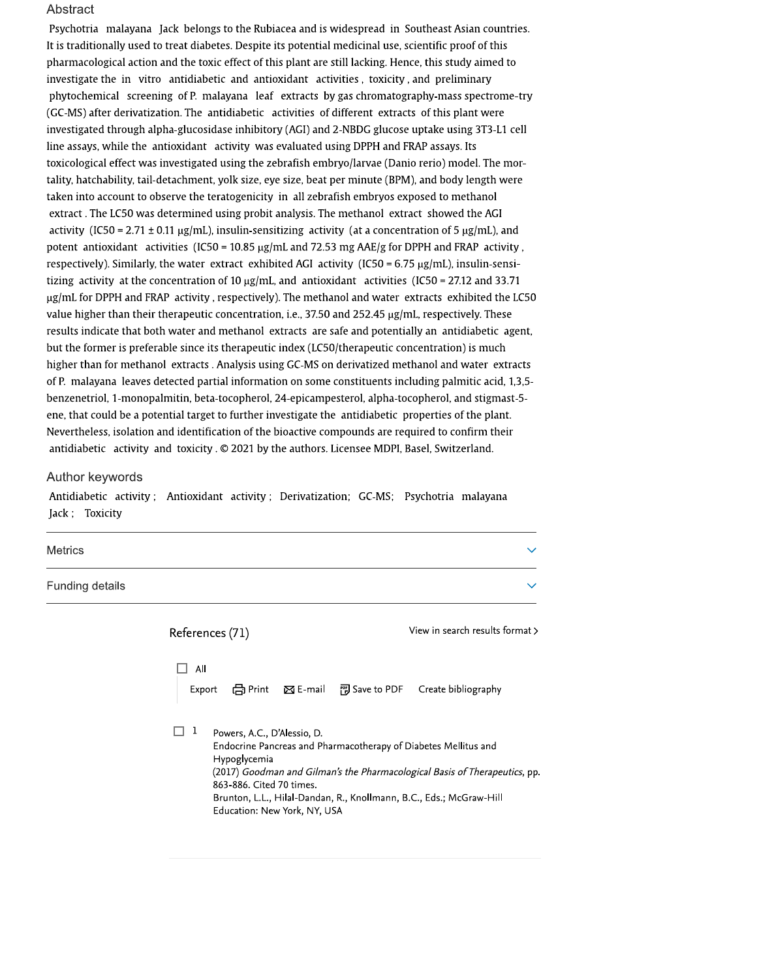### Abstract

Psychotria malayana Jack belongs to the Rubiacea and is widespread in Southeast Asian countries. It is traditionally used to treat diabetes. Despite its potential medicinal use, scientific proof of this pharmacological action and the toxic effect of this plant are still lacking. Hence, this study aimed to investigate the in vitro antidiabetic and antioxidant activities, toxicity, and preliminary phytochemical screening of P. malayana leaf extracts by gas chromatography-mass spectrome-try (GC-MS) after derivatization. The antidiabetic activities of different extracts of this plant were investigated through alpha-glucosidase inhibitory (AGI) and 2-NBDG glucose uptake using 3T3-L1 cell line assays, while the antioxidant activity was evaluated using DPPH and FRAP assays. Its toxicological effect was investigated using the zebrafish embryo/larvae (Danio rerio) model. The mortality, hatchability, tail-detachment, yolk size, eye size, beat per minute (BPM), and body length were taken into account to observe the teratogenicity in all zebrafish embryos exposed to methanol extract . The LC50 was determined using probit analysis. The methanol extract showed the AGI activity (IC50 = 2.71  $\pm$  0.11 µg/mL), insulin-sensitizing activity (at a concentration of 5 µg/mL), and potent antioxidant activities (IC50 = 10.85  $\mu$ g/mL and 72.53 mg AAE/g for DPPH and FRAP activity, respectively). Similarly, the water extract exhibited AGI activity (IC50 = 6.75  $\mu$ g/mL), insulin-sensitizing activity at the concentration of 10  $\mu$ g/mL, and antioxidant activities (IC50 = 27.12 and 33.71)  $\mu$ g/mL for DPPH and FRAP activity, respectively). The methanol and water extracts exhibited the LC50 value higher than their therapeutic concentration, i.e., 37.50 and 252.45 µg/mL, respectively. These results indicate that both water and methanol extracts are safe and potentially an antidiabetic agent, but the former is preferable since its therapeutic index (LC50/therapeutic concentration) is much higher than for methanol extracts. Analysis using GC-MS on derivatized methanol and water extracts of P. malayana leaves detected partial information on some constituents including palmitic acid, 1,3,5benzenetriol, 1-monopalmitin, beta-tocopherol, 24-epicampesterol, alpha-tocopherol, and stigmast-5ene, that could be a potential target to further investigate the antidiabetic properties of the plant. Nevertheless, isolation and identification of the bioactive compounds are required to confirm their antidiabetic activity and toxicity . © 2021 by the authors. Licensee MDPI, Basel, Switzerland.

#### Author keywords

Antidiabetic activity; Antioxidant activity; Derivatization; GC-MS; Psychotria malayana Jack; Toxicity

| <b>Metrics</b>  |  |
|-----------------|--|
| Funding details |  |

| References (71) |                                                                                                         |                     | View in search results format >                                                                                                                                                                                      |
|-----------------|---------------------------------------------------------------------------------------------------------|---------------------|----------------------------------------------------------------------------------------------------------------------------------------------------------------------------------------------------------------------|
| All<br>Export   |                                                                                                         | den Print  ⊠ E-mail | 門 Save to PDF   Create bibliography                                                                                                                                                                                  |
|                 | Powers, A.C., D'Alessio, D.<br>Hypoglycemia<br>863-886. Cited 70 times.<br>Education: New York, NY, USA |                     | Endocrine Pancreas and Pharmacotherapy of Diabetes Mellitus and<br>(2017) Goodman and Gilman's the Pharmacological Basis of Therapeutics, pp.<br>Brunton, L.L., Hilal-Dandan, R., Knollmann, B.C., Eds.; McGraw-Hill |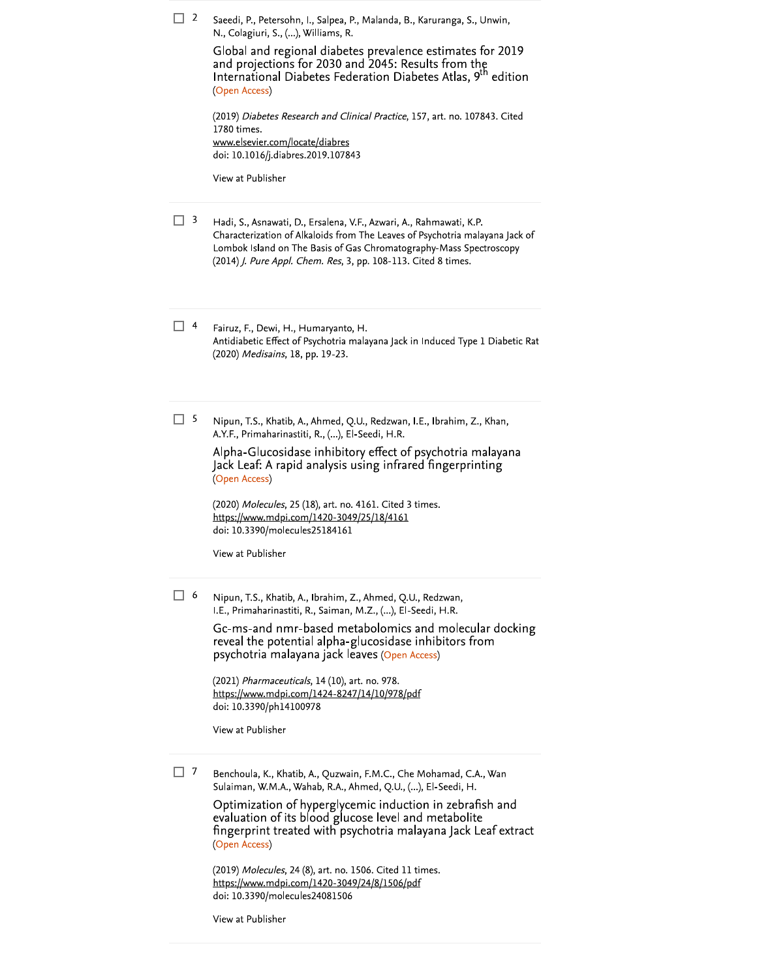| $\Box$ 2                      | Saeedi, P., Petersohn, I., Salpea, P., Malanda, B., Karuranga, S., Unwin,<br>N., Colagiuri, S., (), Williams, R.<br>Global and regional diabetes prevalence estimates for 2019<br>and projections for 2030 and 2045: Results from the<br>International Diabetes Federation Diabetes Atlas, 9 <sup>th</sup> edition<br>(Open Access)<br>(2019) Diabetes Research and Clinical Practice, 157, art. no. 107843. Cited<br>1780 times.<br><u>www.elsevier.com/locate/diabres</u><br>doi: 10.1016/j.diabres.2019.107843<br>View at Publisher |
|-------------------------------|----------------------------------------------------------------------------------------------------------------------------------------------------------------------------------------------------------------------------------------------------------------------------------------------------------------------------------------------------------------------------------------------------------------------------------------------------------------------------------------------------------------------------------------|
| 3<br>H                        | Hadi, S., Asnawati, D., Ersalena, V.F., Azwari, A., Rahmawati, K.P.<br>Characterization of Alkaloids from The Leaves of Psychotria malayana Jack of<br>Lombok Island on The Basis of Gas Chromatography-Mass Spectroscopy<br>(2014) <i>J. Pure Appl. Chem. Res</i> , 3, pp. 108-113. Cited 8 times.                                                                                                                                                                                                                                    |
| 4<br>$\overline{\phantom{a}}$ | Fairuz, F., Dewi, H., Humaryanto, H.<br>Antidiabetic Effect of Psychotria malayana Jack in Induced Type 1 Diabetic Rat<br>(2020) Medisains, 18, pp. 19-23.                                                                                                                                                                                                                                                                                                                                                                             |
| 5<br>-1                       | Nipun, T.S., Khatib, A., Ahmed, Q.U., Redzwan, I.E., Ibrahim, Z., Khan,<br>A.Y.F., Primaharinastiti, R., (), El-Seedi, H.R.<br>Alpha-Glucosidase inhibitory effect of psychotria malayana<br>Jack Leaf: A rapid analysis using infrared fingerprinting<br>(Open Access)<br>(2020) Molecules, 25 (18), art. no. 4161. Cited 3 times.<br>https://www.mdpi.com/1420-3049/25/18/4161<br>doi: 10.3390/molecules25184161<br>View at Publisher                                                                                                |
| -1<br>-6                      | Nipun, T.S., Khatib, A., Ibrahim, Z., Ahmed, Q.U., Redzwan,<br>I.E., Primaharinastiti, R., Saiman, M.Z., (), El-Seedi, H.R.<br>Gc-ms-and nmr-based metabolomics and molecular docking<br>reveal the potential alpha-glucosidase inhibitors from<br>psychotria malayana jack leaves (Open Access)<br>(2021) Pharmaceuticals, 14 (10), art. no. 978.<br>https://www.mdpi.com/1424-8247/14/10/978/pdf<br>doi: 10.3390/ph14100978<br>View at Publisher                                                                                     |
| 7                             | Benchoula, K., Khatib, A., Quzwain, F.M.C., Che Mohamad, C.A., Wan<br>Sulaiman, W.M.A., Wahab, R.A., Ahmed, Q.U., (), El-Seedi, H.<br>Optimization of hyperglycemic induction in zebrafish and<br>evaluation of its blood glucose level and metabolite<br>fingerprint treated with psychotria malayana Jack Leaf extract<br>(Open Access)                                                                                                                                                                                              |

(2019) Molecules, 24 (8), art. no. 1506. Cited 11 times.<br>https://www.mdpi.com/1420-3049/24/8/1506/pdf<br>doi: 10.3390/molecules24081506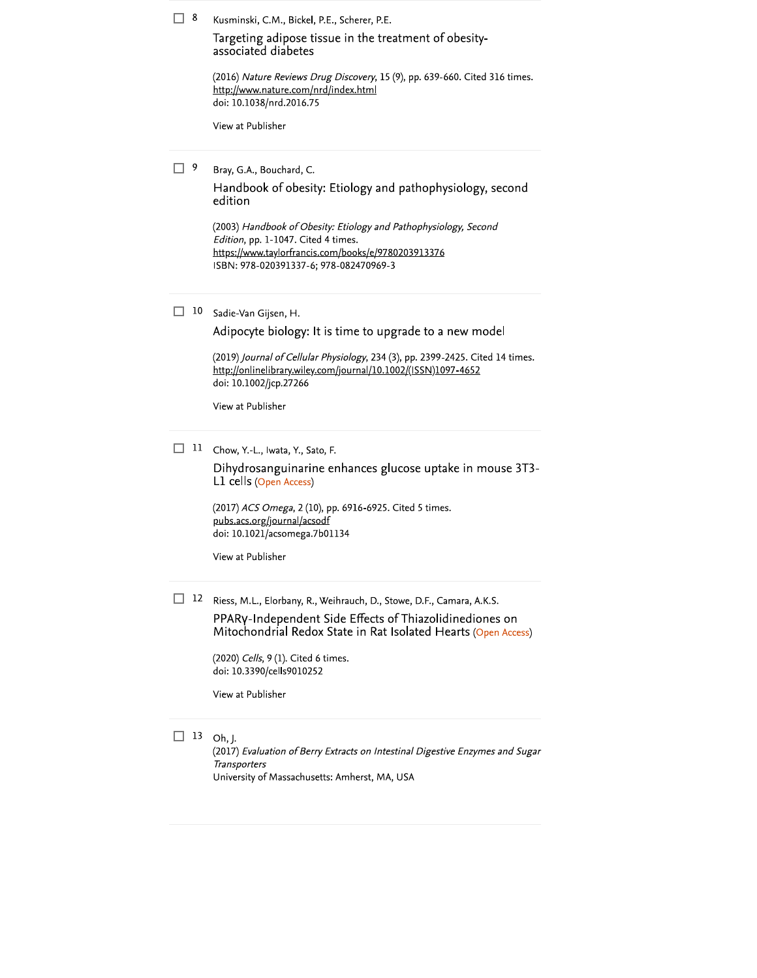$\Box$  8 Kusminski, C.M., Bickel, P.E., Scherer, P.E.

> Targeting adipose tissue in the treatment of obesityassociated diabetes

(2016) Nature Reviews Drug Discovery, 15 (9), pp. 639-660. Cited 316 times. http://www.nature.com/nrd/index.html doi: 10.1038/nrd.2016.75

View at Publisher

 $\Box$  9 Bray, G.A., Bouchard, C.

> Handbook of obesity: Etiology and pathophysiology, second edition

(2003) Handbook of Obesity: Etiology and Pathophysiology, Second Edition, pp. 1-1047. Cited 4 times. https://www.taylorfrancis.com/books/e/9780203913376 ISBN: 978-020391337-6; 978-082470969-3

 $\Box$  10 Sadie-Van Gijsen, H.

Adipocyte biology: It is time to upgrade to a new model

(2019) Journal of Cellular Physiology, 234 (3), pp. 2399-2425. Cited 14 times. http://onlinelibrary.wiley.com/journal/10.1002/(ISSN)1097-4652 doi: 10.1002/jcp.27266

View at Publisher

 $\Box$  11 Chow, Y.-L., Iwata, Y., Sato, F.

Dihydrosanguinarine enhances glucose uptake in mouse 3T3-L1 cells (Open Access)

(2017) ACS Omega, 2 (10), pp. 6916-6925. Cited 5 times. pubs.acs.org/journal/acsodf doi: 10.1021/acsomega.7b01134

View at Publisher

12 Riess, M.L., Elorbany, R., Weihrauch, D., Stowe, D.F., Camara, A.K.S. PPARy-Independent Side Effects of Thiazolidinediones on

Mitochondrial Redox State in Rat Isolated Hearts (Open Access)

(2020) Cells, 9 (1). Cited 6 times. doi: 10.3390/cells9010252

View at Publisher

 $\Box$  13 Oh, J.

(2017) Evaluation of Berry Extracts on Intestinal Digestive Enzymes and Sugar **Transporters** University of Massachusetts: Amherst, MA, USA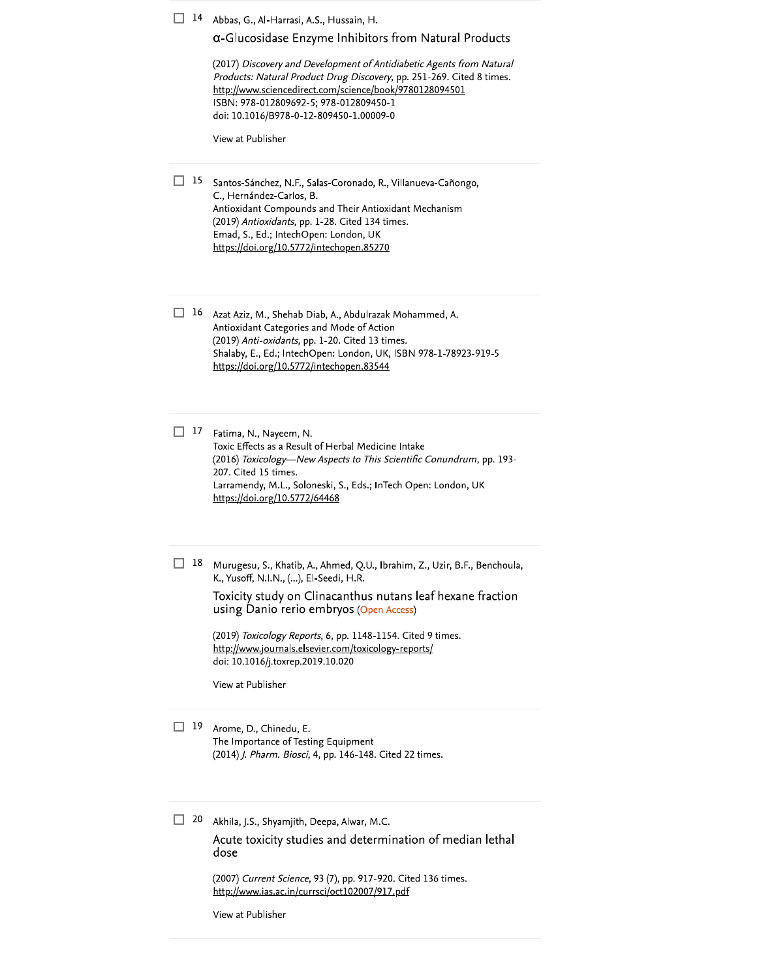| 14 | Abbas, G., Al-Harrasi, A.S., Hussain, H.<br>a-Glucosidase Enzyme Inhibitors from Natural Products                                                                                                                                                                                                                                                                                                              |
|----|----------------------------------------------------------------------------------------------------------------------------------------------------------------------------------------------------------------------------------------------------------------------------------------------------------------------------------------------------------------------------------------------------------------|
|    | (2017) Discovery and Development of Antidiabetic Agents from Natural<br>Products: Natural Product Drug Discovery, pp. 251-269. Cited 8 times.<br>http://www.sciencedirect.com/science/book/9780128094501<br>ISBN: 978-012809692-5; 978-012809450-1<br>doi: 10.1016/B978-0-12-809450-1.00009-0                                                                                                                  |
|    | View at Publisher                                                                                                                                                                                                                                                                                                                                                                                              |
| 15 | Santos-Sánchez, N.F., Salas-Coronado, R., Villanueva-Cañongo,<br>C., Hernández-Carlos, B.<br>Antioxidant Compounds and Their Antioxidant Mechanism<br>(2019) Antioxidants, pp. 1-28. Cited 134 times.<br>Emad, S., Ed.; IntechOpen: London, UK<br>https://doi.org/10.5772/intechopen.85270                                                                                                                     |
| 16 | Azat Aziz, M., Shehab Diab, A., Abdulrazak Mohammed, A.<br>Antioxidant Categories and Mode of Action<br>(2019) Anti-oxidants, pp. 1-20. Cited 13 times.<br>Shalaby, E., Ed.; IntechOpen: London, UK, ISBN 978-1-78923-919-5<br>https://doi.org/10.5772/intechopen.83544                                                                                                                                        |
| 17 | Fatima, N., Nayeem, N.<br>Toxic Effects as a Result of Herbal Medicine Intake<br>(2016) Toxicology-New Aspects to This Scientific Conundrum, pp. 193-<br>207. Cited 15 times.<br>Larramendy, M.L., Soloneski, S., Eds.; InTech Open: London, UK<br>https://doi.org/10.5772/64468                                                                                                                               |
| 18 | Murugesu, S., Khatib, A., Ahmed, Q.U., Ibrahim, Z., Uzir, B.F., Benchoula,<br>K., Yusoff, N.I.N., (), El-Seedi, H.R.<br>Toxicity study on Clinacanthus nutans leaf hexane fraction<br>using Danio rerio embryos (Open Access)<br>(2019) Toxicology Reports, 6, pp. 1148-1154. Cited 9 times.<br>http://www.journals.elsevier.com/toxicology-reports/<br>doi: 10.1016/j.toxrep.2019.10.020<br>View at Publisher |
| 19 | Arome, D., Chinedu, E.<br>The Importance of Testing Equipment<br>(2014) J. Pharm. Biosci, 4, pp. 146-148. Cited 22 times.                                                                                                                                                                                                                                                                                      |
| 20 | Akhila, J.S., Shyamjith, Deepa, Alwar, M.C.<br>Acute toxicity studies and determination of median lethal<br>dose                                                                                                                                                                                                                                                                                               |
|    | (2007) Current Science, 93 (7), pp. 917-920. Cited 136 times.<br>http://www.ias.ac.in/currsci/oct102007/917.pdf                                                                                                                                                                                                                                                                                                |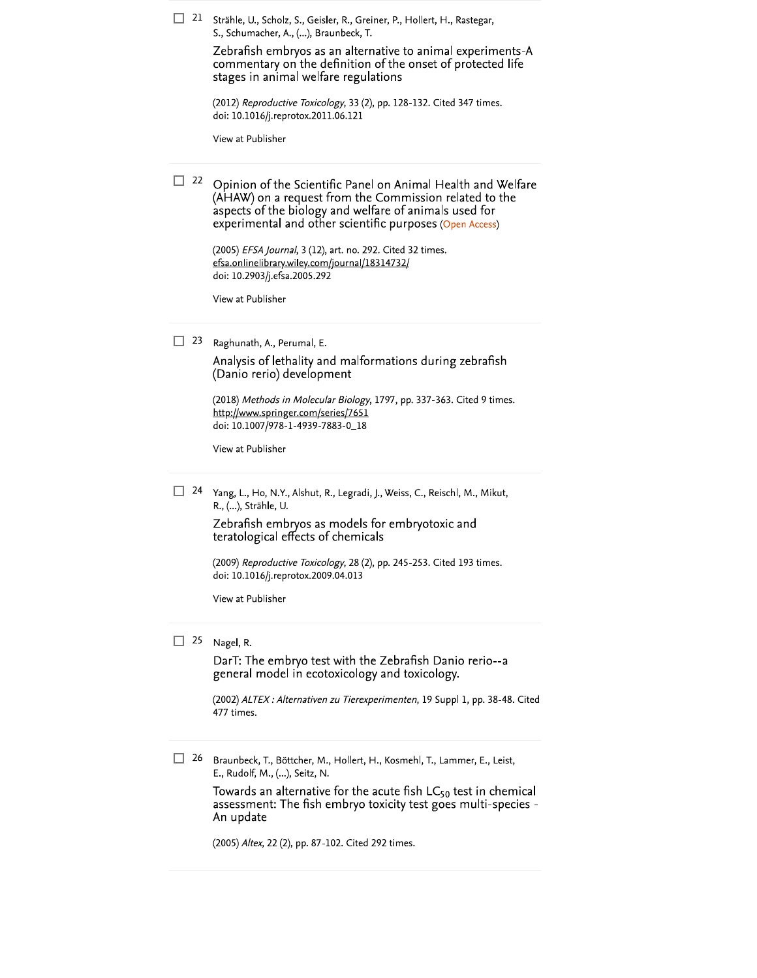|    | Strähle, U., Scholz, S., Geisler, R., Greiner, P., Hollert, H., Rastegar,<br>S., Schumacher, A., (), Braunbeck, T.<br>Zebrafish embryos as an alternative to animal experiments-A<br>commentary on the definition of the onset of protected life<br>stages in animal welfare regulations |
|----|------------------------------------------------------------------------------------------------------------------------------------------------------------------------------------------------------------------------------------------------------------------------------------------|
|    | (2012) Reproductive Toxicology, 33 (2), pp. 128-132. Cited 347 times.<br>doi: 10.1016/j.reprotox.2011.06.121                                                                                                                                                                             |
|    | View at Publisher                                                                                                                                                                                                                                                                        |
| 22 | Opinion of the Scientific Panel on Animal Health and Welfare<br>(AHAW) on a request from the Commission related to the<br>aspects of the biology and welfare of animals used for<br>experimental and other scientific purposes (Open Access)                                             |
|    | (2005) EFSA Journal, 3 (12), art. no. 292. Cited 32 times.<br>efsa.onlinelibrary.wiley.com/journal/18314732/<br>doi: 10.2903/j.efsa.2005.292                                                                                                                                             |
|    | View at Publisher                                                                                                                                                                                                                                                                        |
| 23 | Raghunath, A., Perumal, E.<br>Analysis of lethality and malformations during zebrafish<br>(Danio rerio) development<br>(2018) Methods in Molecular Biology, 1797, pp. 337-363. Cited 9 times.                                                                                            |
|    | http://www.springer.com/series/7651<br>doi: 10.1007/978-1-4939-7883-0_18                                                                                                                                                                                                                 |
|    | View at Publisher                                                                                                                                                                                                                                                                        |
|    |                                                                                                                                                                                                                                                                                          |
| 24 | Yang, L., Ho, N.Y., Alshut, R., Legradi, J., Weiss, C., Reischl, M., Mikut,<br>R., (), Strähle, U.                                                                                                                                                                                       |
|    | Zebrafish embryos as models for embryotoxic and<br>teratological effects of chemicals                                                                                                                                                                                                    |
|    | (2009) Reproductive Toxicology, 28 (2), pp. 245-253. Cited 193 times.<br>doi: 10.1016/j.reprotox.2009.04.013                                                                                                                                                                             |
|    | View at Publisher                                                                                                                                                                                                                                                                        |
| 25 | Nagel, R.<br>DarT: The embryo test with the Zebrafish Danio rerio--a<br>general model in ecotoxicology and toxicology.                                                                                                                                                                   |
|    | (2002) ALTEX : Alternativen zu Tierexperimenten, 19 Suppl 1, pp. 38-48. Cited<br>477 times.                                                                                                                                                                                              |
| 26 | Braunbeck, T., Böttcher, M., Hollert, H., Kosmehl, T., Lammer, E., Leist,<br>E., Rudolf, M., (), Seitz, N.                                                                                                                                                                               |
|    | Towards an alternative for the acute fish $LC_{50}$ test in chemical<br>assessment: The fish embryo toxicity test goes multi-species -<br>An update                                                                                                                                      |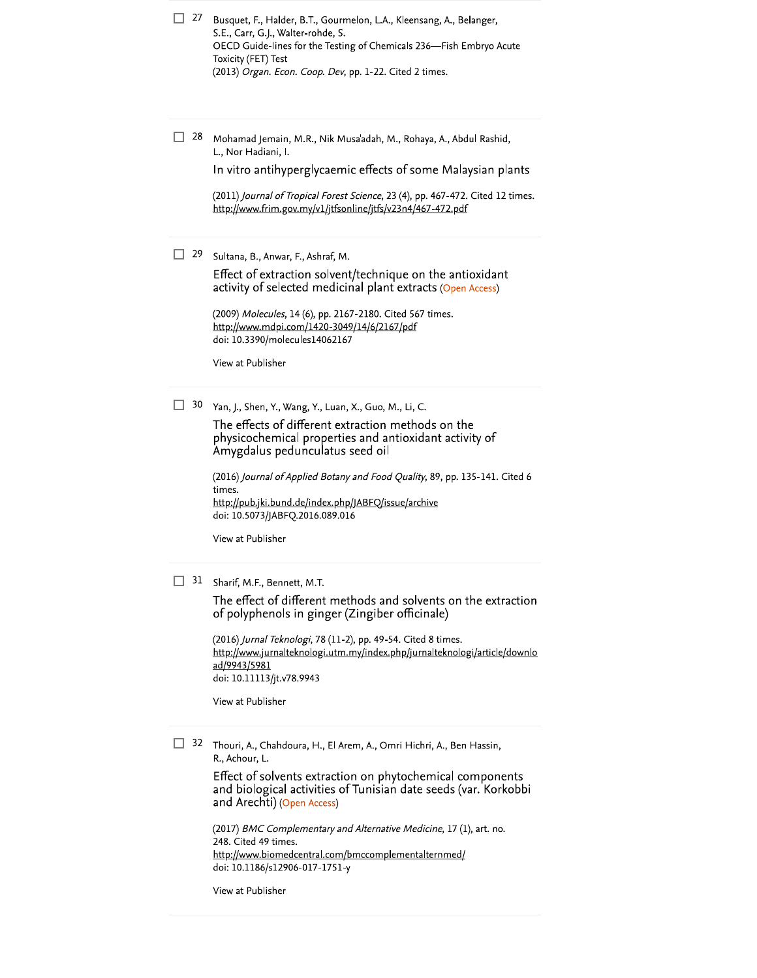| $\Box$ 27 | Busquet, F., Halder, B.T., Gourmelon, L.A., Kleensang, A., Belanger, |
|-----------|----------------------------------------------------------------------|
|           | S.E., Carr, G.J., Walter-rohde, S.                                   |
|           | OECD Guide-lines for the Testing of Chemicals 236—Fish Embryo Acute  |
|           | Toxicity (FET) Test                                                  |
|           | (2013) Organ. Econ. Coop. Dev, pp. 1-22. Cited 2 times.              |
|           |                                                                      |

 $\Box$  28 Mohamad Jemain, M.R., Nik Musa'adah, M., Rohaya, A., Abdul Rashid, L., Nor Hadiani, I.

In vitro antihyperglycaemic effects of some Malaysian plants

(2011) Journal of Tropical Forest Science, 23 (4), pp. 467-472. Cited 12 times. http://www.frim.gov.my/v1/jtfsonline/jtfs/v23n4/467-472.pdf

 $\Box$  29 Sultana, B., Anwar, F., Ashraf, M.

Effect of extraction solvent/technique on the antioxidant activity of selected medicinal plant extracts (Open Access)

(2009) Molecules, 14 (6), pp. 2167-2180. Cited 567 times. http://www.mdpi.com/1420-3049/14/6/2167/pdf doi: 10.3390/molecules14062167

View at Publisher

30 Yan, J., Shen, Y., Wang, Y., Luan, X., Guo, M., Li, C.

The effects of different extraction methods on the physicochemical properties and antioxidant activity of Amygdalus pedunculatus seed oil

(2016) Journal of Applied Botany and Food Quality, 89, pp. 135-141. Cited 6 times. http://pub.jki.bund.de/index.php/JABFQ/issue/archive doi: 10.5073/JABFQ.2016.089.016

View at Publisher

31 Sharif, M.F., Bennett, M.T.

The effect of different methods and solvents on the extraction of polyphenols in ginger (Zingiber officinale)

(2016) Jurnal Teknologi, 78 (11-2), pp. 49-54. Cited 8 times. http://www.jurnalteknologi.utm.my/index.php/jurnalteknologi/article/downlo ad/9943/5981 doi: 10.11113/jt.v78.9943

View at Publisher

<sup>32</sup> Thouri, A., Chahdoura, H., El Arem, A., Omri Hichri, A., Ben Hassin, R., Achour, L.

> Effect of solvents extraction on phytochemical components and biological activities of Tunisian date seeds (var. Korkobbi and Arechti) (Open Access)

(2017) BMC Complementary and Alternative Medicine, 17 (1), art. no. 248. Cited 49 times. http://www.biomedcentral.com/bmccomplementalternmed/ doi: 10.1186/s12906-017-1751-y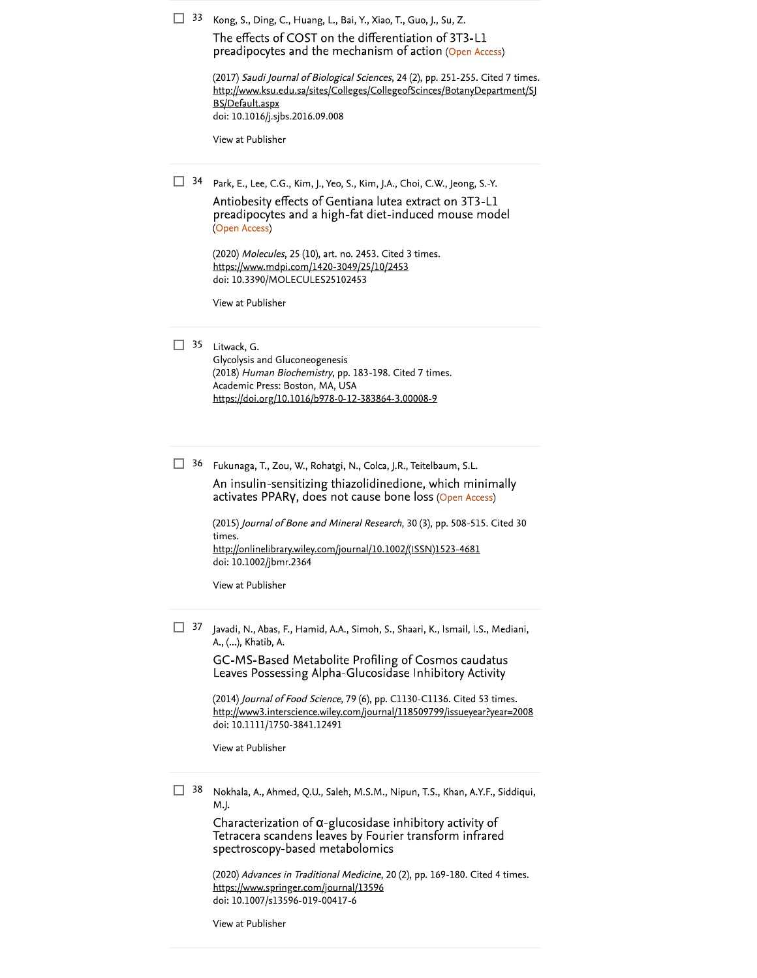|  | $\Box$ 33 Kong, S., Ding, C., Huang, L., Bai, Y., Xiao, T., Guo, J., Su, Z |  |  |  |  |  |  |
|--|----------------------------------------------------------------------------|--|--|--|--|--|--|
|  |                                                                            |  |  |  |  |  |  |

The effects of COST on the differentiation of 3T3-L1 preadipocytes and the mechanism of action (Open Acce

|    | preadipocytes and the mechanism of action (Open Access)<br>(2017) Saudi Journal of Biological Sciences, 24 (2), pp. 251-255. Cited 7 times.<br>http://www.ksu.edu.sa/sites/Colleges/CollegeofScinces/BotanyDepartment/SJ<br>BS/Default.aspx<br>doi: 10.1016/j.sjbs.2016.09.008<br>View at Publisher                                                                                                                                   |
|----|---------------------------------------------------------------------------------------------------------------------------------------------------------------------------------------------------------------------------------------------------------------------------------------------------------------------------------------------------------------------------------------------------------------------------------------|
| 34 | Park, E., Lee, C.G., Kim, J., Yeo, S., Kim, J.A., Choi, C.W., Jeong, S.-Y.<br>Antiobesity effects of Gentiana lutea extract on 3T3-L1<br>preadipocytes and a high-fat diet-induced mouse model<br>(Open Access)<br>(2020) Molecules, 25 (10), art. no. 2453. Cited 3 times.<br>https://www.mdpi.com/1420-3049/25/10/2453<br>doi: 10.3390/MOLECULES25102453<br>View at Publisher                                                       |
| 35 | Litwack, G.<br>Glycolysis and Gluconeogenesis<br>(2018) Human Biochemistry, pp. 183-198. Cited 7 times.<br>Academic Press: Boston, MA, USA<br>https://doi.org/10.1016/b978-0-12-383864-3.00008-9                                                                                                                                                                                                                                      |
| 36 | Fukunaga, T., Zou, W., Rohatgi, N., Colca, J.R., Teitelbaum, S.L.<br>An insulin-sensitizing thiazolidinedione, which minimally<br>activates PPARy, does not cause bone loss (Open Access)<br>(2015) Journal of Bone and Mineral Research, 30 (3), pp. 508-515. Cited 30<br>times.<br>http://onlinelibrary.wiley.com/journal/10.1002/(ISSN)1523-4681<br>doi: 10.1002/jbmr.2364<br>View at Publisher                                    |
| 37 | Javadi, N., Abas, F., Hamid, A.A., Simoh, S., Shaari, K., Ismail, I.S., Mediani,<br>A., (), Khatib, A.<br>GC-MS-Based Metabolite Profiling of Cosmos caudatus<br>Leaves Possessing Alpha-Glucosidase Inhibitory Activity<br>(2014) Journal of Food Science, 79 (6), pp. C1130-C1136. Cited 53 times.<br>http://www3.interscience.wiley.com/journal/118509799/issueyear?year=2008<br>doi: 10.1111/1750-3841.12491<br>View at Publisher |
| 38 | Nokhala, A., Ahmed, Q.U., Saleh, M.S.M., Nipun, T.S., Khan, A.Y.F., Siddiqui,<br>M.J.<br>Characterization of $\alpha$ -glucosidase inhibitory activity of<br>Tetracera scandens leaves by Fourier transform infrared<br>spectroscopy-based metabolomics                                                                                                                                                                               |

(2020) Advances in Traditional Medicine, 20 (2), pp. 169-180. Cited 4 times.<br>https://www.springer.com/journal/13596<br>doi: 10.1007/s13596-019-00417-6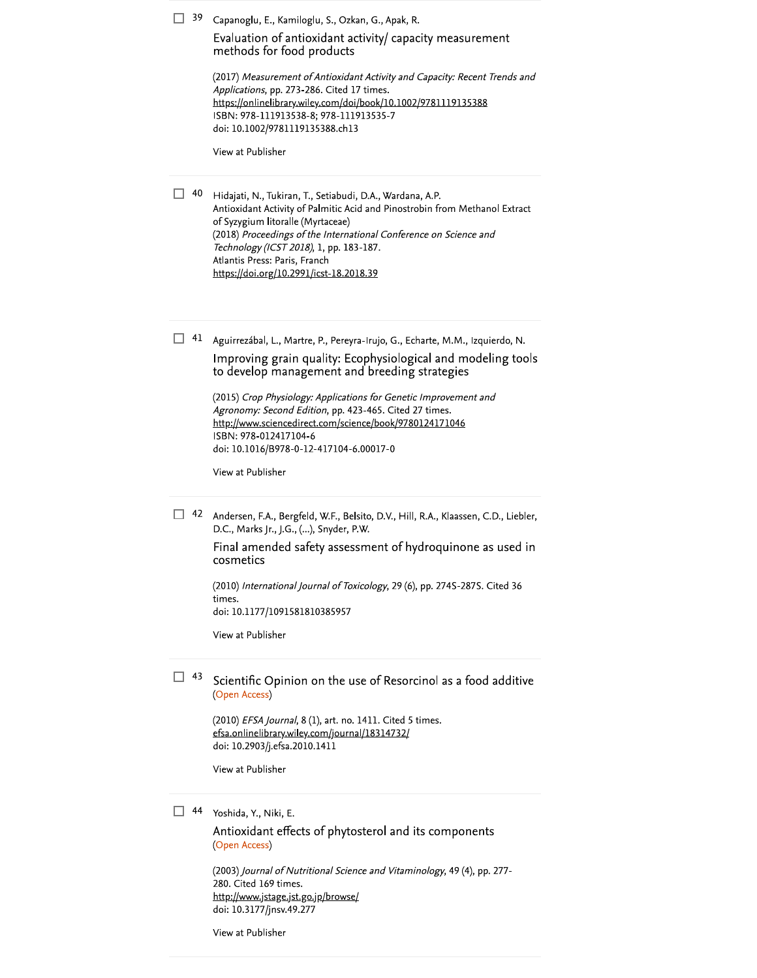| 39      | Capanoglu, E., Kamiloglu, S., Ozkan, G., Apak, R.<br>Evaluation of antioxidant activity/ capacity measurement<br>methods for food products                                                                                                                                                                                                                                |
|---------|---------------------------------------------------------------------------------------------------------------------------------------------------------------------------------------------------------------------------------------------------------------------------------------------------------------------------------------------------------------------------|
|         | (2017) Measurement of Antioxidant Activity and Capacity: Recent Trends and<br>Applications, pp. 273-286. Cited 17 times.<br>https://onlinelibrary.wiley.com/doi/book/10.1002/9781119135388<br>ISBN: 978-111913538-8; 978-111913535-7<br>doi: 10.1002/9781119135388.ch13                                                                                                   |
|         | View at Publisher                                                                                                                                                                                                                                                                                                                                                         |
| 40      | Hidajati, N., Tukiran, T., Setiabudi, D.A., Wardana, A.P.<br>Antioxidant Activity of Palmitic Acid and Pinostrobin from Methanol Extract<br>of Syzygium litoralle (Myrtaceae)<br>(2018) Proceedings of the International Conference on Science and<br>Technology (ICST 2018), 1, pp. 183-187.<br>Atlantis Press: Paris, Franch<br>https://doi.org/10.2991/icst-18.2018.39 |
| П<br>41 | Aguirrezábal, L., Martre, P., Pereyra-Irujo, G., Echarte, M.M., Izquierdo, N.                                                                                                                                                                                                                                                                                             |
|         | Improving grain quality: Ecophysiological and modeling tools<br>to develop management and breeding strategies                                                                                                                                                                                                                                                             |
|         | (2015) Crop Physiology: Applications for Genetic Improvement and<br>Agronomy: Second Edition, pp. 423-465. Cited 27 times.<br>http://www.sciencedirect.com/science/book/9780124171046<br>ISBN: 978-012417104-6<br>doi: 10.1016/B978-0-12-417104-6.00017-0                                                                                                                 |
|         | View at Publisher                                                                                                                                                                                                                                                                                                                                                         |
| 42<br>H | Andersen, F.A., Bergfeld, W.F., Belsito, D.V., Hill, R.A., Klaassen, C.D., Liebler,<br>D.C., Marks Jr., J.G., (), Snyder, P.W.                                                                                                                                                                                                                                            |
|         | Final amended safety assessment of hydroquinone as used in<br>cosmetics                                                                                                                                                                                                                                                                                                   |
|         | (2010) International Journal of Toxicology, 29 (6), pp. 274S-287S. Cited 36<br>times.<br>doi: 10.1177/1091581810385957                                                                                                                                                                                                                                                    |
|         | View at Publisher                                                                                                                                                                                                                                                                                                                                                         |
| 43      | Scientific Opinion on the use of Resorcinol as a food additive<br>(Open Access)                                                                                                                                                                                                                                                                                           |
|         | (2010) EFSA Journal, 8 (1), art. no. 1411. Cited 5 times.<br>efsa.onlinelibrary.wiley.com/journal/18314732/<br>doi: 10.2903/j.efsa.2010.1411                                                                                                                                                                                                                              |
|         | View at Publisher                                                                                                                                                                                                                                                                                                                                                         |
| 44      | Yoshida, Y., Niki, E.                                                                                                                                                                                                                                                                                                                                                     |
|         | Antioxidant effects of phytosterol and its components<br>(Open Access)                                                                                                                                                                                                                                                                                                    |
|         | (2003) Journal of Nutritional Science and Vitaminology, 49 (4), pp. 277-                                                                                                                                                                                                                                                                                                  |

(2003) *Journal or Nutritional Science*<br>280. Cited 169 times.<br>http://www.jstage.jst.go.jp/browse/<br>doi: 10.3177/jnsv.49.277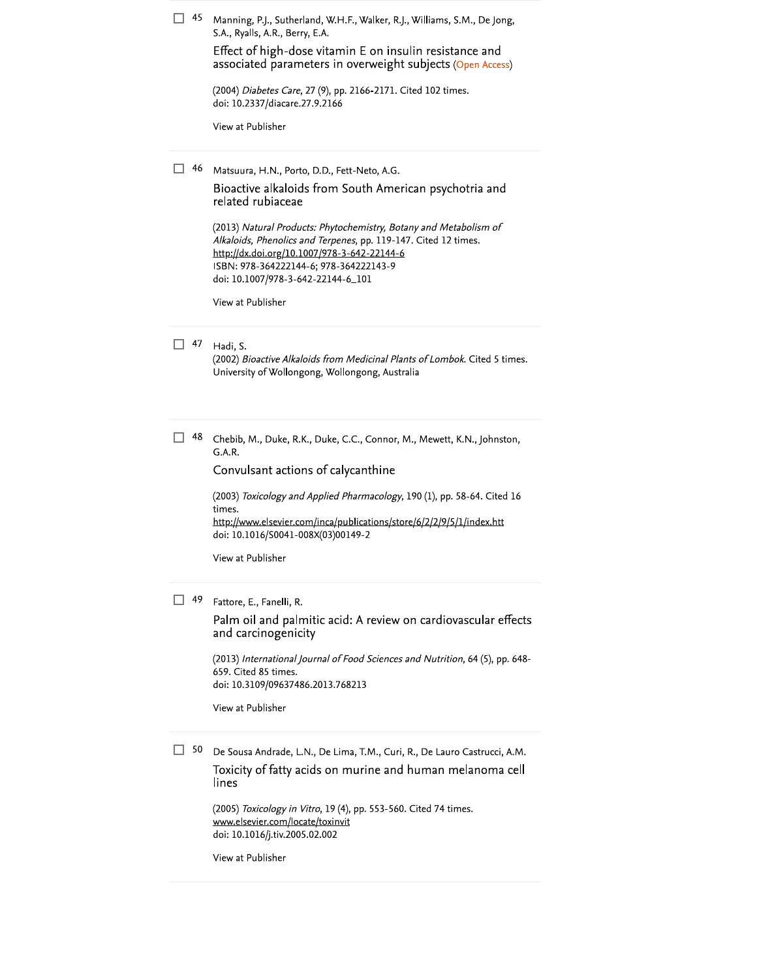| 45 | Manning, P.J., Sutherland, W.H.F., Walker, R.J., Williams, S.M., De Jong,<br>S.A., Ryalls, A.R., Berry, E.A.<br>Effect of high-dose vitamin E on insulin resistance and<br>associated parameters in overweight subjects (Open Access)<br>(2004) Diabetes Care, 27 (9), pp. 2166-2171. Cited 102 times.<br>doi: 10.2337/diacare.27.9.2166<br>View at Publisher                                                           |
|----|-------------------------------------------------------------------------------------------------------------------------------------------------------------------------------------------------------------------------------------------------------------------------------------------------------------------------------------------------------------------------------------------------------------------------|
| 46 | Matsuura, H.N., Porto, D.D., Fett-Neto, A.G.<br>Bioactive alkaloids from South American psychotria and<br>related rubiaceae<br>(2013) Natural Products: Phytochemistry, Botany and Metabolism of<br>Alkaloids, Phenolics and Terpenes, pp. 119-147. Cited 12 times.<br>http://dx.doi.org/10.1007/978-3-642-22144-6<br>ISBN: 978-364222144-6; 978-364222143-9<br>doi: 10.1007/978-3-642-22144-6_101<br>View at Publisher |
| 47 | Hadi, S.<br>(2002) Bioactive Alkaloids from Medicinal Plants of Lombok. Cited 5 times.<br>University of Wollongong, Wollongong, Australia                                                                                                                                                                                                                                                                               |
| 48 | Chebib, M., Duke, R.K., Duke, C.C., Connor, M., Mewett, K.N., Johnston,<br>G.A.R.<br>Convulsant actions of calycanthine<br>(2003) Toxicology and Applied Pharmacology, 190 (1), pp. 58-64. Cited 16<br>times.<br>http://www.elsevier.com/inca/publications/store/6/2/2/9/5/1/index.htt<br>doi: 10.1016/S0041-008X(03)00149-2<br>View at Publisher                                                                       |
| 49 | Fattore, E., Fanelli, R.<br>Palm oil and palmitic acid: A review on cardiovascular effects<br>and carcinogenicity<br>(2013) International Journal of Food Sciences and Nutrition, 64 (5), pp. 648-<br>659. Cited 85 times.<br>doi: 10.3109/09637486.2013.768213<br>View at Publisher                                                                                                                                    |
| 50 | De Sousa Andrade, L.N., De Lima, T.M., Curi, R., De Lauro Castrucci, A.M.<br>Toxicity of fatty acids on murine and human melanoma cell<br>lines<br>(2005) Toxicology in Vitro, 19 (4), pp. 553-560. Cited 74 times.<br>www.elsevier.com/locate/toxinvit<br>doi: 10.1016/j.tiv.2005.02.002                                                                                                                               |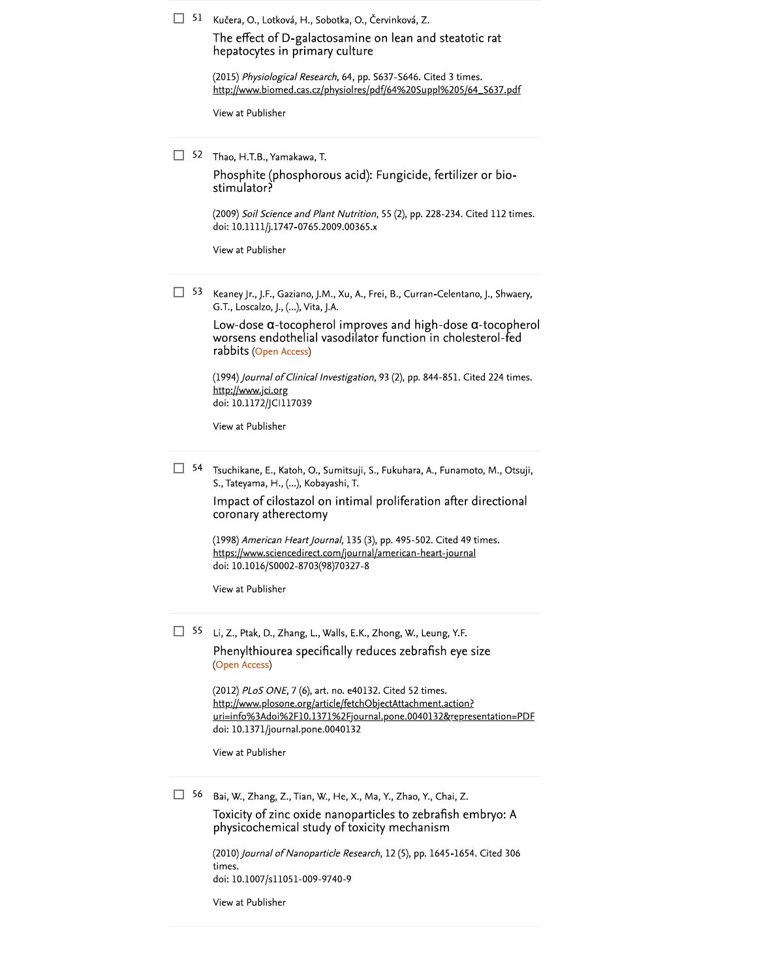51 Kučera, O., Lotková, H., Sobotka, O., Červinková, Z.

The effect of D-galactosamine on lean and steatotic rat hepatocytes in primary culture

(2015) Physiological Research, 64, pp. S637-S646. Cited 3 times. http://www.biomed.cas.cz/physiolres/pdf/64%20Suppl%205/64\_S637.pdf

View at Publisher

 $\Box$  52 Thao, H.T.B., Yamakawa, T.

Phosphite (phosphorous acid): Fungicide, fertilizer or biostimulator?

(2009) Soil Science and Plant Nutrition, 55 (2), pp. 228-234. Cited 112 times. doi: 10.1111/j.1747-0765.2009.00365.x

View at Publisher

 $\Box$  53 Keaney Jr., J.F., Gaziano, J.M., Xu, A., Frei, B., Curran-Celentano, J., Shwaery, G.T., Loscalzo, J., (...), Vita, J.A.

> Low-dose  $\alpha$ -tocopherol improves and high-dose  $\alpha$ -tocopherol worsens endothelial vasodilator function in cholesterol-fed rabbits (Open Access)

(1994) Journal of Clinical Investigation, 93 (2), pp. 844-851. Cited 224 times. http://www.jci.org doi: 10.1172/JCI117039

View at Publisher

 $\Box$  54 Tsuchikane, E., Katoh, O., Sumitsuji, S., Fukuhara, A., Funamoto, M., Otsuji, S., Tateyama, H., (...), Kobayashi, T.

> Impact of cilostazol on intimal proliferation after directional coronary atherectomy

(1998) American Heart Journal, 135 (3), pp. 495-502. Cited 49 times. https://www.sciencedirect.com/journal/american-heart-journal doi: 10.1016/S0002-8703(98)70327-8

View at Publisher

55 Li, Z., Ptak, D., Zhang, L., Walls, E.K., Zhong, W., Leung, Y.F. Phenylthiourea specifically reduces zebrafish eye size (Open Access)

> (2012) PLoS ONE, 7 (6), art. no. e40132. Cited 52 times. http://www.plosone.org/article/fetchObjectAttachment.action? uri=info%3Adoi%2F10.1371%2Fjournal.pone.0040132&representation=PDF doi: 10.1371/journal.pone.0040132

View at Publisher

 $\Box$  56 Bai, W., Zhang, Z., Tian, W., He, X., Ma, Y., Zhao, Y., Chai, Z.

Toxicity of zinc oxide nanoparticles to zebrafish embryo: A physicochemical study of toxicity mechanism

(2010) Journal of Nanoparticle Research, 12 (5), pp. 1645-1654. Cited 306 times. doi: 10.1007/s11051-009-9740-9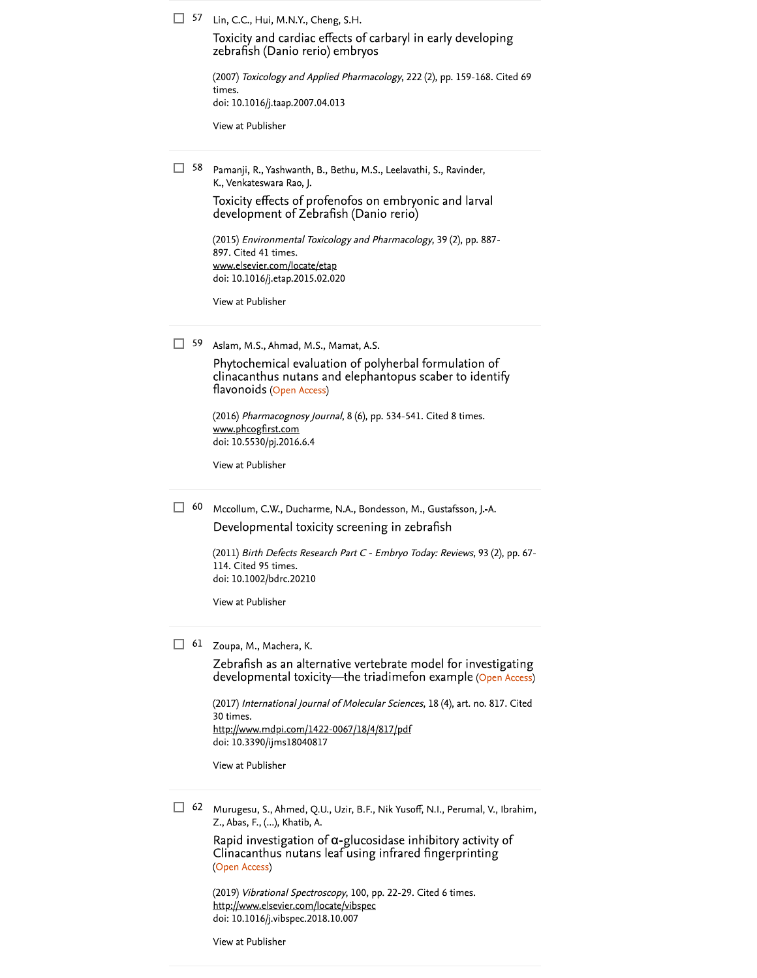$\Box$  57 Lin, C.C., Hui, M.N.Y., Cheng, S.H.

Toxicity and cardiac effects of carbaryl in early developing zebrafish (Danio rerio) embryos

(2007) Toxicology and Applied Pharmacology, 222 (2), pp. 159-168. Cited 69 times. doi: 10.1016/j.taap.2007.04.013

View at Publisher

 $\Box$  58 Pamanji, R., Yashwanth, B., Bethu, M.S., Leelavathi, S., Ravinder, K., Venkateswara Rao, J.

> Toxicity effects of profenofos on embryonic and larval development of Zebrafish (Danio rerio)

(2015) Environmental Toxicology and Pharmacology, 39 (2), pp. 887-897. Cited 41 times. www.elsevier.com/locate/etap doi: 10.1016/j.etap.2015.02.020

View at Publisher

 $\Box$  59 Aslam, M.S., Ahmad, M.S., Mamat, A.S.

Phytochemical evaluation of polyherbal formulation of clinacanthus nutans and elephantopus scaber to identify flavonoids (Open Access)

(2016) Pharmacognosy Journal, 8 (6), pp. 534-541. Cited 8 times. www.phcogfirst.com doi: 10.5530/pj.2016.6.4

View at Publisher

 $\Box$  60 Mccollum, C.W., Ducharme, N.A., Bondesson, M., Gustafsson, J.-A. Developmental toxicity screening in zebrafish

> (2011) Birth Defects Research Part C - Embryo Today: Reviews, 93 (2), pp. 67-114. Cited 95 times. doi: 10.1002/bdrc.20210

View at Publisher

 $\Box$  61 Zoupa, M., Machera, K.

Zebrafish as an alternative vertebrate model for investigating developmental toxicity—the triadimefon example (Open Access)

(2017) International Journal of Molecular Sciences, 18 (4), art. no. 817. Cited 30 times. http://www.mdpi.com/1422-0067/18/4/817/pdf doi: 10.3390/ijms18040817

View at Publisher

 $\Box$  62 Murugesu, S., Ahmed, Q.U., Uzir, B.F., Nik Yusoff, N.I., Perumal, V., Ibrahim, Z., Abas, F., (...), Khatib, A.

> Rapid investigation of  $\alpha$ -glucosidase inhibitory activity of Clinacanthus nutans leaf using infrared fingerprinting (Open Access)

(2019) Vibrational Spectroscopy, 100, pp. 22-29. Cited 6 times. http://www.elsevier.com/locate/vibspec doi: 10.1016/j.vibspec.2018.10.007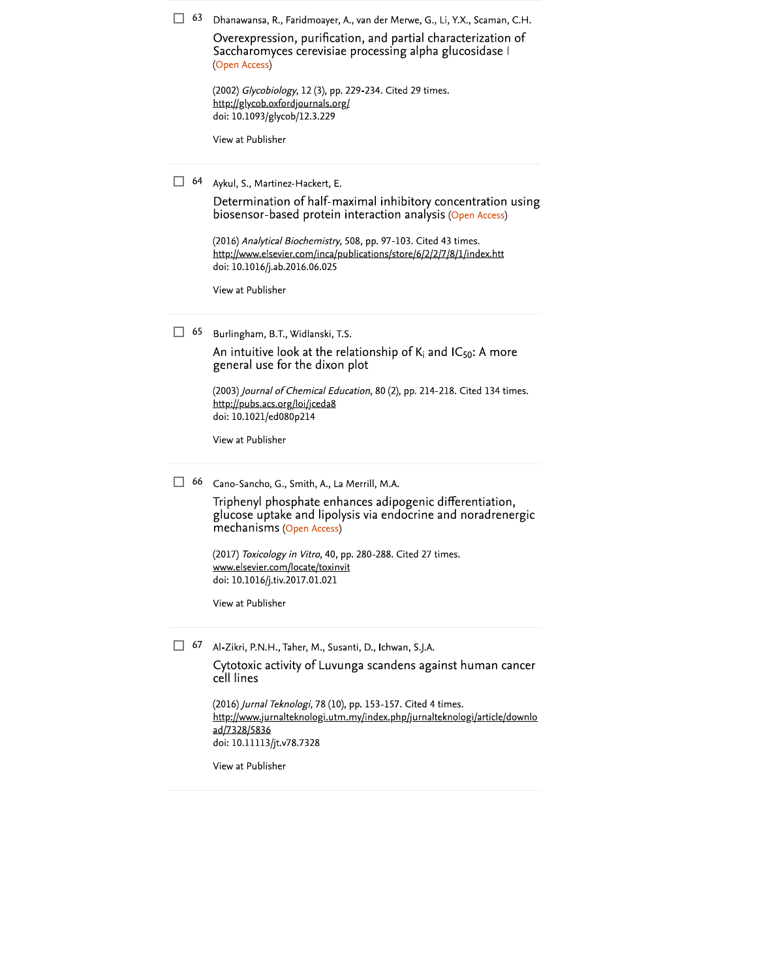| 63        | Dhanawansa, R., Faridmoayer, A., van der Merwe, G., Li, Y.X., Scaman, C.H.                                                                                                                      |
|-----------|-------------------------------------------------------------------------------------------------------------------------------------------------------------------------------------------------|
|           | Overexpression, purification, and partial characterization of<br>Saccharomyces cerevisiae processing alpha glucosidase I<br>(Open Access)                                                       |
|           | (2002) Glycobiology, 12 (3), pp. 229-234. Cited 29 times.<br>http://glycob.oxfordjournals.org/<br>doi: 10.1093/glycob/12.3.229                                                                  |
|           | View at Publisher                                                                                                                                                                               |
| 64<br>-1  | Aykul, S., Martinez-Hackert, E.                                                                                                                                                                 |
|           | Determination of half-maximal inhibitory concentration using<br>biosensor-based protein interaction analysis (Open Access)                                                                      |
|           | (2016) Analytical Biochemistry, 508, pp. 97-103. Cited 43 times.<br>http://www.elsevier.com/inca/publications/store/6/2/2/7/8/1/index.htt<br>doi: 10.1016/j.ab.2016.06.025                      |
|           | View at Publisher                                                                                                                                                                               |
| $\Box$ 65 | Burlingham, B.T., Widlanski, T.S.                                                                                                                                                               |
|           | An intuitive look at the relationship of $K_i$ and IC <sub>50</sub> : A more<br>general use for the dixon plot                                                                                  |
|           | (2003) Journal of Chemical Education, 80 (2), pp. 214-218. Cited 134 times.<br>http://pubs.acs.org/loi/jceda8<br>doi: 10.1021/ed080p214                                                         |
|           | View at Publisher                                                                                                                                                                               |
| 66        | Cano-Sancho, G., Smith, A., La Merrill, M.A.                                                                                                                                                    |
|           | Triphenyl phosphate enhances adipogenic differentiation,<br>glucose uptake and lipolysis via endocrine and noradrenergic<br>mechanisms (Open Access)                                            |
|           | (2017) Toxicology in Vitro, 40, pp. 280-288. Cited 27 times.<br><u>www.elsevier.com/locate/toxinvit</u><br>doi: 10.1016/j.tiv.2017.01.021                                                       |
|           | View at Publisher                                                                                                                                                                               |
| 67        | Al-Zikri, P.N.H., Taher, M., Susanti, D., Ichwan, S.J.A.                                                                                                                                        |
|           | Cytotoxic activity of Luvunga scandens against human cancer<br>cell lines                                                                                                                       |
|           | (2016) Jurnal Teknologi, 78 (10), pp. 153-157. Cited 4 times.<br>http://www.jurnalteknologi.utm.my/index.php/jurnalteknologi/article/downlo<br><u>ad/7328/5836</u><br>doi: 10.11113/jt.v78.7328 |
|           | View at Publisher                                                                                                                                                                               |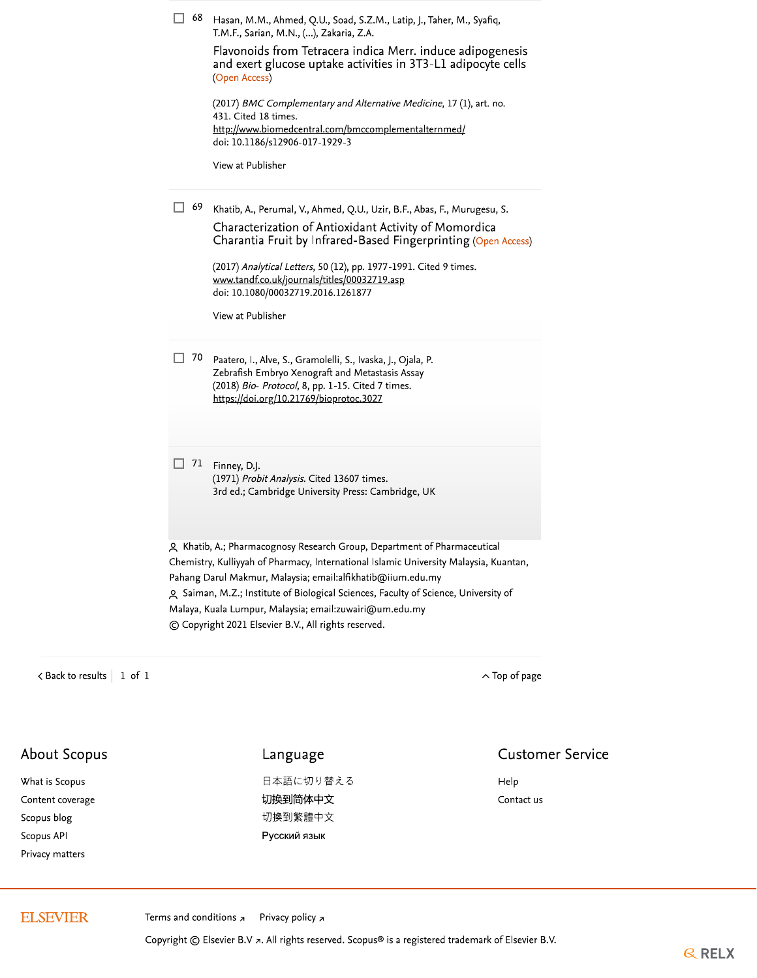| 68  | Hasan, M.M., Ahmed, Q.U., Soad, S.Z.M., Latip, J., Taher, M., Syafiq,<br>T.M.F., Sarian, M.N., (), Zakaria, Z.A.<br>Flavonoids from Tetracera indica Merr. induce adipogenesis<br>and exert glucose uptake activities in 3T3-L1 adipocyte cells<br>(Open Access)                                                                                                                   |
|-----|------------------------------------------------------------------------------------------------------------------------------------------------------------------------------------------------------------------------------------------------------------------------------------------------------------------------------------------------------------------------------------|
|     | (2017) BMC Complementary and Alternative Medicine, 17 (1), art. no.<br>431. Cited 18 times.<br>http://www.biomedcentral.com/bmccomplementalternmed/<br>doi: 10.1186/s12906-017-1929-3                                                                                                                                                                                              |
|     | View at Publisher                                                                                                                                                                                                                                                                                                                                                                  |
| 69  | Khatib, A., Perumal, V., Ahmed, Q.U., Uzir, B.F., Abas, F., Murugesu, S.<br>Characterization of Antioxidant Activity of Momordica<br>Charantia Fruit by Infrared-Based Fingerprinting (Open Access)                                                                                                                                                                                |
|     | (2017) Analytical Letters, 50 (12), pp. 1977-1991. Cited 9 times.<br>www.tandf.co.uk/journals/titles/00032719.asp<br>doi: 10.1080/00032719.2016.1261877                                                                                                                                                                                                                            |
|     | View at Publisher                                                                                                                                                                                                                                                                                                                                                                  |
| 70  | Paatero, I., Alve, S., Gramolelli, S., Ivaska, J., Ojala, P.<br>Zebrafish Embryo Xenograft and Metastasis Assay<br>(2018) Bio- Protocol, 8, pp. 1-15. Cited 7 times.<br>https://doi.org/10.21769/bioprotoc.3027                                                                                                                                                                    |
| -71 | Finney, D.J.<br>(1971) Probit Analysis. Cited 13607 times.                                                                                                                                                                                                                                                                                                                         |
|     | 3rd ed.; Cambridge University Press: Cambridge, UK                                                                                                                                                                                                                                                                                                                                 |
|     | A Khatib, A.; Pharmacognosy Research Group, Department of Pharmaceutical<br>Chemistry, Kulliyyah of Pharmacy, International Islamic University Malaysia, Kuantan,<br>Pahang Darul Makmur, Malaysia; email:alfikhatib@iium.edu.my<br>9 Saiman, M.Z.; Institute of Biological Sciences, Faculty of Science, University of<br>Malaya, Kuala Lumpur, Malaysia; email:zuwairi@um.edu.my |

 $\langle$  Back to results  $\vert$  1 of 1

 $\hat{\frown}$  Top of page

# About Scopus

What is Scopus Content coverage Scopus blog Scopus API Privacy matters

## Language

日本語に切り替える 切换到简体中文 切換到繁體中文 Русский язык

### **Customer Service**

Help Contact us

## **ELSEVIER**

Terms and conditions  $\pi$ Privacy policy z

Copyright © Elsevier B.V a. All rights reserved. Scopus® is a registered trademark of Elsevier B.V.